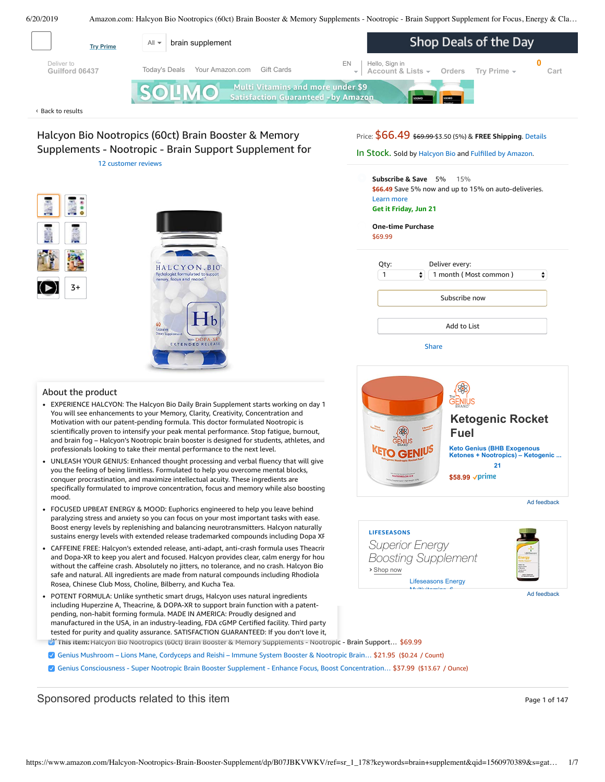<span id="page-0-0"></span>

**One-time Purchase** \$69.99

**›** Shop now

**LIFESEASONS**

*Superior Energy Boosting Supplement*

> [Lifeseasons Energy](https://aax-us-east.amazon-adsystem.com/x/c/QnB0isR3a5HMtNDxjKoW9WEAAAFrdYFyOwEAAAH0AQewwGA/https://www.amazon.com/dp/B00CKWU05G?ref_=ams_ad_dp_ttl) Multivitamins 6

| ۵<br>1 month (Most common) |  |  |
|----------------------------|--|--|
| Subscribe now              |  |  |
| Add to List                |  |  |



 $Z+$ 

EXPERIENCE HALCYON: The Halcyon Bio Daily Brain Supplement starts working on day 1. You will see enhancements to your Memory, Clarity, Creativity, Concentration and Motivation with our patent-pending formula. This doctor formulated Nootropic is scientifically proven to intensify your peak mental performance. Stop fatigue, burnout, and brain fog – Halcyon's Nootropic brain booster is designed for students, athletes, and professionals looking to take their mental performance to the next level.

HALCYON BIO

 $\mathbf{1}\mathbf{b}$ 

Web DOPA-X

- UNLEASH YOUR GENIUS: Enhanced thought processing and verbal fluency that will give you the feeling of being limitless. Formulated to help you overcome mental blocks, conquer procrastination, and maximize intellectual acuity. These ingredients are specifically formulated to improve concentration, focus and memory while also boosting mood.
- FOCUSED UPBEAT ENERGY & MOOD: Euphorics [engineered](https://www.amazon.com/gp/redirect.html/ref=amb_link_1?_encoding=UTF8&location=https%3A%2F%2Fwww.amazon.com%2Fb%3Fnode%3D17904040011&source=standards&token=BE1FBDC111DBAC62750B07A4AFAFEF6D1A082253&pf_rd_m=ATVPDKIKX0DER&pf_rd_s=product-alert&pf_rd_r=M07G7BK93MGV903QYV6M&pf_rd_r=M07G7BK93MGV903QYV6M&pf_rd_t=201&pf_rd_p=daeb3cfd-e4e6-41c2-9f54-b460e6d1a06e&pf_rd_p=daeb3cfd-e4e6-41c2-9f54-b460e6d1a06e&pf_rd_i=B07JBKVWKV) to help you leave behind paralyzing stress and anxiety so you can focus on your most important tasks with ease. Boost energy levels by replenishing and balancing neurotransmitters. Halcyon naturally sustains energy levels with extended release trademarked compounds including Dopa XR.
- FREE: Halcyon's extended release, anti-adapt, anti-crash formula uses Theacrine .<br>Card Dana XD to keep you alant and forward. Unlayer arouides also welcome approximately without the carrellie crash. Absolutely ho jitters, ho toterante, and ho crash. Hatcyon bit<br>safe and natural. All [ingredient](https://www.amazon.com/Genius-Mushroom-Cordyceps-Nootropic-Supplement/dp/B078SJ9F5S/ref=pd_bxgy_121_img_2/143-6729050-3493109?_encoding=UTF8&pd_rd_i=B078SJ9F5S&pd_rd_r=244eb946-9370-11e9-968c-571b12b66399&pd_rd_w=5dnz3&pd_rd_wg=wWDn7&pf_rd_p=a2006322-0bc0-4db9-a08e-d168c18ce6f0&pf_rd_r=M07G7BK93MGV903QYV6M&psc=1&refRID=M07G7BK93MGV903QYV6M)s are made from natural compounds including Rhodiola a. The cartesian area to controller and Dopa-XR to keep you alert and focused. Halcyon provides clear, calm energy for hou without the caffeine crash. Absolutely no jitters, no tolerance, and no crash. Halcyon Bio Rosea, Chinese Club Moss, Choline, Bilberry, and Kucha Tea.
- POTENT FORMULA: Unlike synthetic smart drugs, Halcyon uses natural ingredients including Huperzine A, Theacrine, & DOPA-XR to support brain function with a patentpending, non-habit forming formula. MADE IN AMERICA: Proudly designed and manufactured in the USA, in an ind[ustry-leading,](https://www.amazon.com/Genius-Consciousness-Supplement-Concentration-Enhancement/dp/B07B45PSV8/ref=pd_bxgy_121_img_3/143-6729050-3493109?_encoding=UTF8&pd_rd_i=B07B45PSV8&pd_rd_r=244eb946-9370-11e9-968c-571b12b66399&pd_rd_w=5dnz3&pd_rd_wg=wWDn7&pf_rd_p=a2006322-0bc0-4db9-a08e-d168c18ce6f0&pf_rd_r=M07G7BK93MGV903QYV6M&psc=1&refRID=M07G7BK93MGV903QYV6M) FDA cGMP Certified facility. Third party tested for purity and quality assurance. SATISFACTION GUARANTEED: If you don't love it,
	- **This item:** Halcyon Bio Nootropics (60ct) Brain Booster & Memory Supplements Nootropic Brain Support... \$69.99
	- Genius [Mushroom](https://www.amazon.com/Genius-Mushroom-Cordyceps-Nootropic-Supplement/dp/B078SJ9F5S/ref=pd_bxgy_121_2/143-6729050-3493109?_encoding=UTF8&pd_rd_i=B078SJ9F5S&pd_rd_r=244eb946-9370-11e9-968c-571b12b66399&pd_rd_w=5dnz3&pd_rd_wg=wWDn7&pf_rd_p=a2006322-0bc0-4db9-a08e-d168c18ce6f0&pf_rd_r=M07G7BK93MGV903QYV6M&psc=1&refRID=M07G7BK93MGV903QYV6M) Lions Mane, Cordyceps and Reishi Immune System Booster & Nootropic Brain… \$21.95 (\$0.24 / Count)
	- Genius Consciousness Super Nootropic Brain Booster Supplement Enhance Focus, Boost [Concentration…](https://www.amazon.com/Genius-Consciousness-Supplement-Concentration-Enhancement/dp/B07B45PSV8/ref=pd_bxgy_121_3/143-6729050-3493109?_encoding=UTF8&pd_rd_i=B07B45PSV8&pd_rd_r=244eb946-9370-11e9-968c-571b12b66399&pd_rd_w=5dnz3&pd_rd_wg=wWDn7&pf_rd_p=a2006322-0bc0-4db9-a08e-d168c18ce6f0&pf_rd_r=M07G7BK93MGV903QYV6M&psc=1&refRID=M07G7BK93MGV903QYV6M) \$37.99 (\$13.67 / Ounce)

Sponsored products related to this item Page 1 of 147





Ad feedback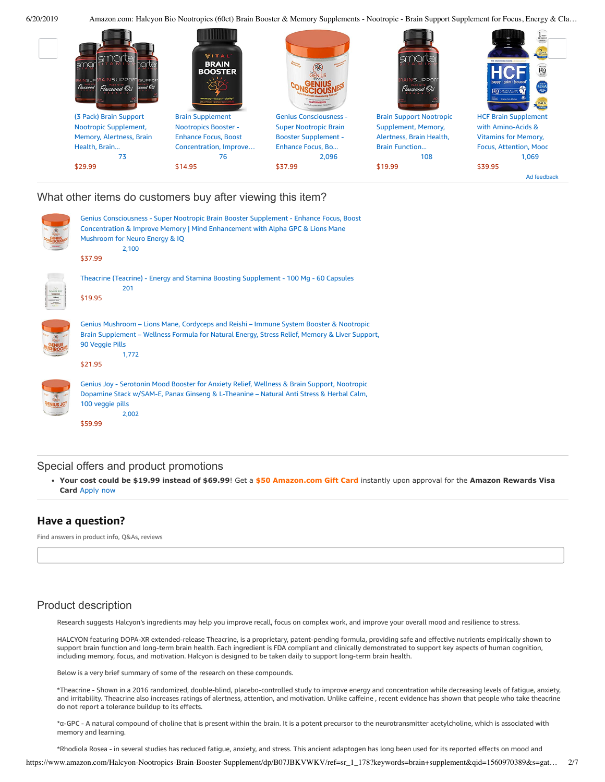

### What other items do customers buy after viewing this item?

| Genius Consciousness - Super Nootropic Brain Booster Supplement - Enhance Focus, Boost<br>Concentration & Improve Memory   Mind Enhancement with Alpha GPC & Lions Mane<br>Mushroom for Neuro Energy & IQ<br>2,100<br>\$37.99   |
|---------------------------------------------------------------------------------------------------------------------------------------------------------------------------------------------------------------------------------|
| Theacrine (Teacrine) - Energy and Stamina Boosting Supplement - 100 Mg - 60 Capsules<br>201<br>\$19.95                                                                                                                          |
| Genius Mushroom – Lions Mane, Cordyceps and Reishi – Immune System Booster & Nootropic<br>Brain Supplement - Wellness Formula for Natural Energy, Stress Relief, Memory & Liver Support,<br>90 Veggie Pills<br>1,772<br>\$21.95 |
| Genius Joy - Serotonin Mood Booster for Anxiety Relief, Wellness & Brain Support, Nootropic<br>Dopamine Stack w/SAM-E, Panax Ginseng & L-Theanine - Natural Anti Stress & Herbal Calm,<br>100 veggie pills<br>2,002             |

[\\$59.99](https://www.amazon.com/Genius-Joy-Serotonin-SAM-L-Theanine/dp/B0743J21SF/ref=pd_cp_121_4?pd_rd_w=h0DPf&pf_rd_p=ef4dc990-a9ca-4945-ae0b-f8d549198ed6&pf_rd_r=M07G7BK93MGV903QYV6M&pd_rd_r=244eb946-9370-11e9-968c-571b12b66399&pd_rd_wg=wWDn7&pd_rd_i=B0743J21SF&psc=1&refRID=M07G7BK93MGV903QYV6M)

### Special offers and product promotions

**[Your cost could be \\$19.99 instead of \\$69.99](https://www.amazon.com/gp/cobrandcard/marketing.html?pr=con321&inc=50gcUnrec&ts=2nvkx0m3371hvoe95thaxo00k0ym360&dasin=B07JBKVWKV&plattr=math&place=detailpage&imp=45aa8997-1422-42b6-9e0d-d67a64cf4da3)**! Get a **\$50 Amazon.com Gift Card** instantly upon approval for the **Amazon Rewards Visa Card** Apply now

### **Have a question?**

Find answers in product info, Q&As, reviews

# Product description

Research suggests Halcyon's ingredients may help you improve recall, focus on complex work, and improve your overall mood and resilience to stress.

HALCYON featuring DOPA-XR extended-release Theacrine, is a proprietary, patent-pending formula, providing safe and effective nutrients empirically shown to support brain function and long-term brain health. Each ingredient is FDA compliant and clinically demonstrated to support key aspects of human cognition, including memory, focus, and motivation. Halcyon is designed to be taken daily to support long-term brain health.

Below is a very brief summary of some of the research on these compounds.

\*Theacrine - Shown in a 2016 randomized, double-blind, placebo-controlled study to improve energy and concentration while decreasing levels of fatigue, anxiety, and irritability. Theacrine also increases ratings of alertness, attention, and motivation. Unlike caffeine , recent evidence has shown that people who take theacrine do not report a tolerance buildup to its effects.

\*α-GPC - A natural compound of choline that is present within the brain. It is a potent precursor to the neurotransmitter acetylcholine, which is associated with memory and learning.

\*Rhodiola Rosea - in several studies has reduced fatigue, anxiety, and stress. This ancient adaptogen has long been used for its reported effects on mood and

https://www.amazon.com/Halcyon-Nootropics-Brain-Booster-Supplement/dp/B07JBKVWKV/ref=sr\_1\_178?keywords=brain+supplement&qid=1560970389&s=gat… 2/7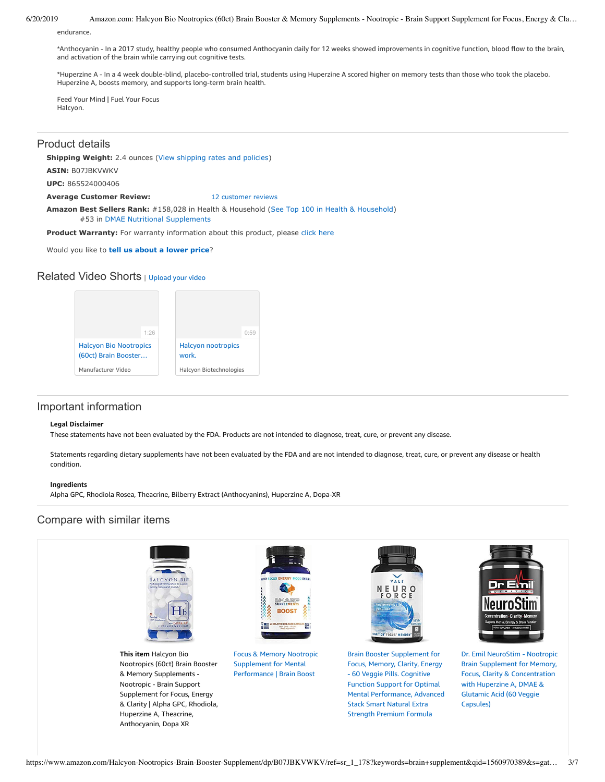endurance.

\*Anthocyanin - In a 2017 study, healthy people who consumed Anthocyanin daily for 12 weeks showed improvements in cognitive function, blood flow to the brain, and activation of the brain while carrying out cognitive tests.

\*Huperzine A - In a 4 week double-blind, placebo-controlled trial, students using Huperzine A scored higher on memory tests than those who took the placebo. Huperzine A, boosts memory, and supports long-term brain health.

Feed Your Mind | Fuel Your Focus Halcyon.

### Product details

**Shipping Weight:** 2.4 ounces [\(View shipping rates and policies\)](https://www.amazon.com/gp/help/seller/shipping.html/ref=dp_pd_shipping?ie=UTF8&asin=B07JBKVWKV&seller=ATVPDKIKX0DER)

**ASIN:** B07JBKVWKV

**UPC:** 865524000406

**Average Customer Review:** [12 customer reviews](https://www.amazon.com/product-reviews/B07JBKVWKV/ref=acr_dpproductdetail_text?ie=UTF8&showViewpoints=1)

**Amazon Best Sellers Rank:** #158,028 in Health & Household [\(See Top 100 in Health & Household](https://www.amazon.com/gp/bestsellers/hpc/ref=pd_zg_ts_hpc)) #53 in [DMAE Nutritional Supplements](https://www.amazon.com/gp/bestsellers/hpc/3773461/ref=pd_zg_hrsr_hpc)

Product Warranty: For warranty information about this product, please [click here](https://www.amazon.com/gp/feature.html/ref=dp_warranty_request_3P?ie=UTF8&docId=1002406021)

Would you like to **tell us about a lower price**?

## Related Video Shorts | [Upload](https://www.amazon.com/creatorhub/video/upload?productASIN=B07JBKVWKV&referringURL=ZHAvQjA3SkJLVldLVg%3D%3D&ref=RVSW) your video



# Important information

#### **Legal Disclaimer**

These statements have not been evaluated by the FDA. Products are not intended to diagnose, treat, cure, or prevent any disease.

Statements regarding dietary supplements have not been evaluated by the FDA and are not intended to diagnose, treat, cure, or prevent any disease or health condition.

#### **Ingredients**

Alpha GPC, Rhodiola Rosea, Theacrine, Bilberry Extract (Anthocyanins), Huperzine A, Dopa-XR

# Compare with similar items



**This item** Halcyon Bio Nootropics (60ct) Brain Booster & Memory Supplements - Nootropic - Brain Support Supplement for Focus, Energy & Clarity | Alpha GPC, Rhodiola, Huperzine A, Theacrine, Anthocyanin, Dopa XR

| <b>GIORY FOCUS ENERGY MOOD ENDISS</b> |
|---------------------------------------|
|                                       |
| SHARP<br><b>BOOST</b>                 |

Focus & Memory Nootropic Supplement for Mental [Performance](https://www.amazon.com/dp/B07JHCG6KQ/ref=psdc_3773461_t1_B07JBKVWKV) | Brain Boost



Brain Booster Supplement for Focus, Memory, Clarity, Energy - 60 Veggie Pills. Cognitive Function Support for Optimal Mental [Performance,](https://www.amazon.com/dp/B073SBL9KM/ref=psdc_3773461_t2_B07JBKVWKV) Advanced Stack Smart Natural Extra Strength Premium Formula



Dr. Emil NeuroStim - Nootropic Brain Supplement for Memory, Focus, Clarity & [Concentration](https://www.amazon.com/dp/B07KWSPP4L/ref=psdc_3773461_t3_B07JBKVWKV) with Huperzine A, DMAE & Glutamic Acid (60 Veggie Capsules)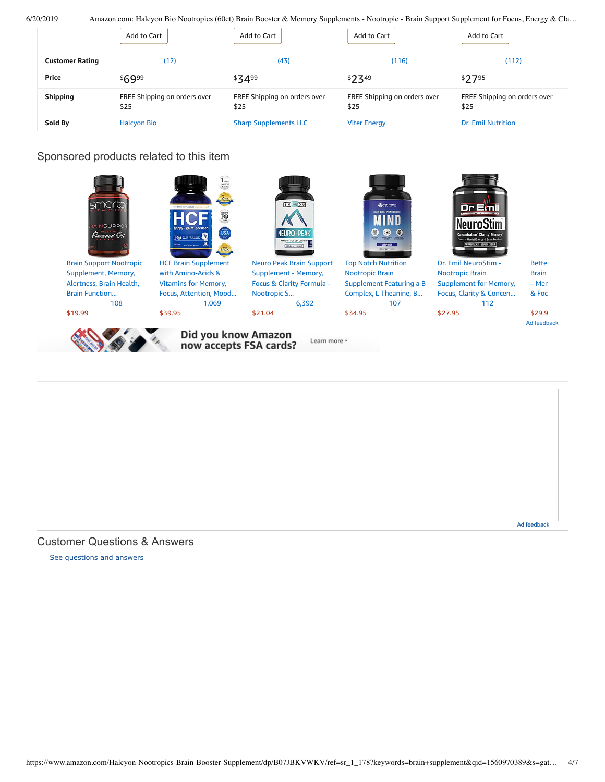|                        | Add to Cart                          | Add to Cart                          | Add to Cart                          | Add to Cart                          |
|------------------------|--------------------------------------|--------------------------------------|--------------------------------------|--------------------------------------|
| <b>Customer Rating</b> | (12)                                 | (43)                                 | (116)                                | (112)                                |
| Price                  | \$6999                               | \$3499                               | \$7349                               | \$2795                               |
| <b>Shipping</b>        | FREE Shipping on orders over<br>\$25 | FREE Shipping on orders over<br>\$25 | FREE Shipping on orders over<br>\$25 | FREE Shipping on orders over<br>\$25 |
| Sold By                | <b>Halcyon Bio</b>                   | <b>Sharp Supplements LLC</b>         | <b>Viter Energy</b>                  | <b>Dr. Emil Nutrition</b>            |

# Sponsored products related to this item



Ad feedback

Customer Questions & Answers

[See questions and answers](https://www.amazon.com/ask/questions/asin/B07JBKVWKV/ref=cm_cd_dp_lla_ql_ll)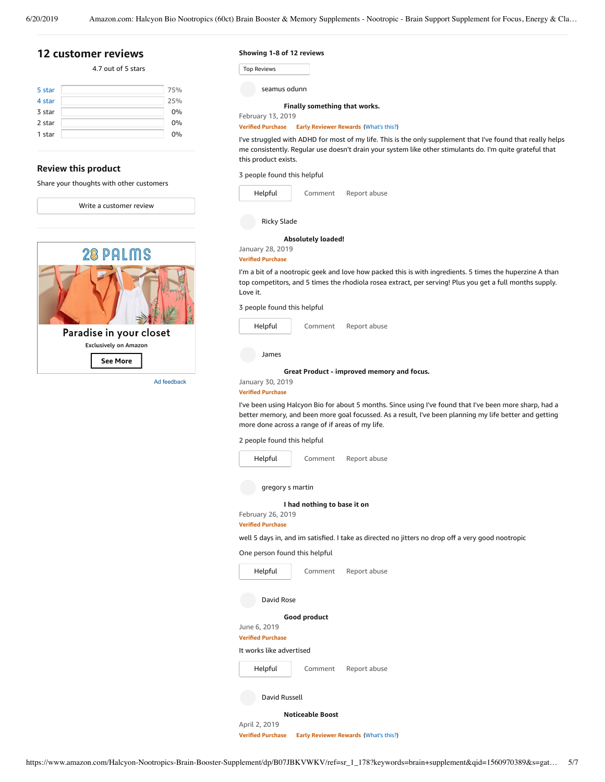# <span id="page-4-0"></span>**[12 customer](https://www.amazon.com/Halcyon-Nootropics-Booster-Memory-Supplements/product-reviews/B07JBKVWKV/ref=cm_cr_dp_d_show_all_top?ie=UTF8&reviewerType=all_reviews) reviews**

### 4.7 out of 5 [stars](javascript:void(0))

| 5 star | 75% |
|--------|-----|
| 4 star | 25% |
| 3 star | 0%  |
| 2 star | 0%  |
| 1 star | 0%  |
|        |     |

### **Review this product**

Share your thoughts with other customers

Write a [customer](https://www.amazon.com/review/create-review/ref=cm_cr_dp_d_wr_but_top?ie=UTF8&channel=glance-detail&asin=B07JBKVWKV) review



**Showing 1-8 of 12 reviews**

| Top Reviews |  |
|-------------|--|
|-------------|--|

seamus odunn

#### **Finally [something](https://www.amazon.com/gp/customer-reviews/R2V7T31FN5SXGN/ref=cm_cr_dp_d_rvw_ttl?ie=UTF8&ASIN=B07JBKVWKV) that works.** February 13, 2019

**Verified Purchase Early Reviewer Rewards** ([What's](https://www.amazon.com/earlyreviewerprogram?ie=UTF8) this?)

I've struggled with ADHD for most of my life. This is the only supplement that I've found that really helps me consistently. Regular use doesn't drain your system like other stimulants do. I'm quite grateful that this product exists.

3 people found this helpful

| Helpful     | Comment | Report abuse |
|-------------|---------|--------------|
| Ricky Slade |         |              |

#### **[Absolutely](https://www.amazon.com/gp/customer-reviews/R3G3CF3P7A9OJK/ref=cm_cr_dp_d_rvw_ttl?ie=UTF8&ASIN=B07JBKVWKV) loaded!**

January 28, 2019

**Verified Purchase**

I'm a bit of a nootropic geek and love how packed this is with ingredients. 5 times the huperzine A than top competitors, and 5 times the rhodiola rosea extract, per serving! Plus you get a full months supply. Love it.

3 people found this helpful

| Helpful | Comment | Report abuse |
|---------|---------|--------------|
|         |         |              |

James

**Great Product - [improved](https://www.amazon.com/gp/customer-reviews/ROCGPJH46A3IN/ref=cm_cr_dp_d_rvw_ttl?ie=UTF8&ASIN=B07JBKVWKV) memory and focus.**

January 30, 2019 **Verified Purchase**

I've been using Halcyon Bio for about 5 months. Since using I've found that I've been more sharp, had a better memory, and been more goal focussed. As a result, I've been planning my life better and getting more done across a range of if areas of my life.

2 people found this helpful



One person found this helpful

| Helpful                  | Comment                 | Report abuse |  |  |
|--------------------------|-------------------------|--------------|--|--|
| David Rose               |                         |              |  |  |
|                          | Good product            |              |  |  |
| June 6, 2019             |                         |              |  |  |
| <b>Verified Purchase</b> |                         |              |  |  |
| It works like advertised |                         |              |  |  |
| Helpful                  | Comment                 | Report abuse |  |  |
| David Russell            |                         |              |  |  |
|                          | <b>Noticeable Boost</b> |              |  |  |

April 2, 2019

**Verified Purchase Early Reviewer Rewards** ([What's](https://www.amazon.com/earlyreviewerprogram?ie=UTF8) this?)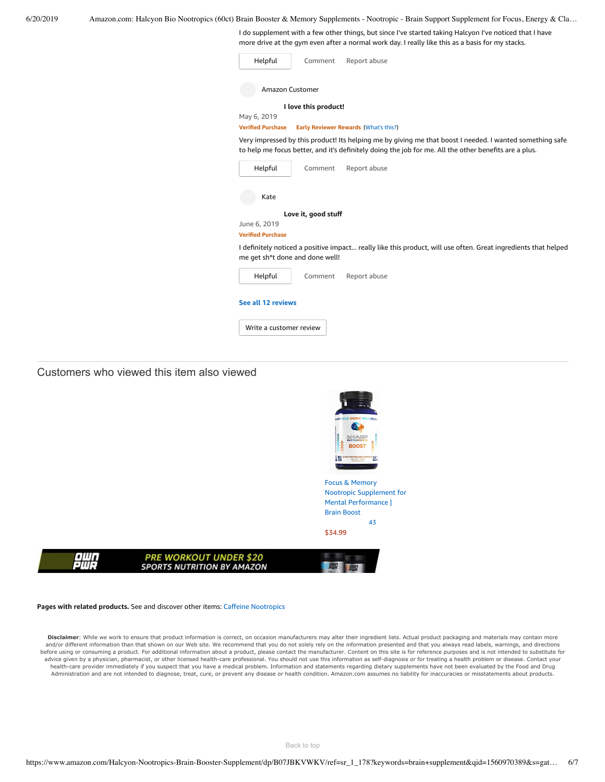I do supplement with a few other things, but since I've started taking Halcyon I've noticed that I have more drive at the gym even after a normal work day. I really like this as a basis for my stacks.

| Helpful                                  | Comment              | Report abuse                                                                                                                                                                                                      |
|------------------------------------------|----------------------|-------------------------------------------------------------------------------------------------------------------------------------------------------------------------------------------------------------------|
| <b>Amazon Customer</b>                   |                      |                                                                                                                                                                                                                   |
|                                          | I love this product! |                                                                                                                                                                                                                   |
| May 6, 2019                              |                      |                                                                                                                                                                                                                   |
| <b>Verified Purchase</b>                 |                      | Early Reviewer Rewards (What's this?)                                                                                                                                                                             |
|                                          |                      | Very impressed by this product! Its helping me by giving me that boost I needed. I wanted something safe<br>to help me focus better, and it's definitely doing the job for me. All the other benefits are a plus. |
| Helpful                                  | Comment              | Report abuse                                                                                                                                                                                                      |
| Kate                                     |                      |                                                                                                                                                                                                                   |
|                                          | Love it, good stuff  |                                                                                                                                                                                                                   |
| June 6, 2019<br><b>Verified Purchase</b> |                      |                                                                                                                                                                                                                   |
| me get sh*t done and done well!          |                      | I definitely noticed a positive impact really like this product, will use often. Great ingredients that helped                                                                                                    |
| Helpful                                  | Comment              | Report abuse                                                                                                                                                                                                      |
| See all 12 reviews                       |                      |                                                                                                                                                                                                                   |
| Write a customer review                  |                      |                                                                                                                                                                                                                   |

Customers who viewed this item also viewed



Nootropic Supplement for Mental [Performance](https://www.amazon.com/Memory-Nootropic-Supplement-Mental-Performance/dp/B07JHCG6KQ/ref=pd_sbs_121_1/143-6729050-3493109?_encoding=UTF8&pd_rd_i=B07JHCG6KQ&pd_rd_r=244eb946-9370-11e9-968c-571b12b66399&pd_rd_w=bO8qX&pd_rd_wg=wWDn7&pf_rd_p=588939de-d3f8-42f1-a3d8-d556eae5797d&pf_rd_r=M07G7BK93MGV903QYV6M&psc=1&refRID=M07G7BK93MGV903QYV6M) | Brain Boost [43](https://www.amazon.com/product-reviews/B07JHCG6KQ/ref=pd_sbs_121_cr_1/143-6729050-3493109?ie=UTF8&pd_rd_i=B07JHCG6KQ&pd_rd_r=244eb946-9370-11e9-968c-571b12b66399&pd_rd_w=bO8qX&pd_rd_wg=wWDn7&pf_rd_p=588939de-d3f8-42f1-a3d8-d556eae5797d&pf_rd_r=M07G7BK93MGV903QYV6M&refRID=M07G7BK93MGV903QYV6M) [\\$34.99](https://www.amazon.com/Memory-Nootropic-Supplement-Mental-Performance/dp/B07JHCG6KQ/ref=pd_sbs_121_1/143-6729050-3493109?_encoding=UTF8&pd_rd_i=B07JHCG6KQ&pd_rd_r=244eb946-9370-11e9-968c-571b12b66399&pd_rd_w=bO8qX&pd_rd_wg=wWDn7&pf_rd_p=588939de-d3f8-42f1-a3d8-d556eae5797d&pf_rd_r=M07G7BK93MGV903QYV6M&psc=1&refRID=M07G7BK93MGV903QYV6M)



#### **Pages with related products.** See and discover other items: Caffeine [Nootropics](https://www.amazon.com/slp/Caffeine-Nootropics/afket8njjk8y6dv?_encoding=UTF8&ref_=fs_blw_d_clp_1)

Disclaimer: While we work to ensure that product information is correct, on occasion manufacturers may alter their ingredient lists. Actual product packaging and materials may contain more and/or different information than that shown on our Web site. We recommend that you do not solely rely on the information presented and that you always read labels, warnings, and directions before using or consuming a product. For additional information about a product, please contact the manufacturer. Content on this site is for reference purposes and is not intended to substitute for advice given by a physician, pharmacist, or other licensed health-care professional. You should not use this information as self-diagnosis or for treating a health problem or disease. Contact your health-care provider immediately if you suspect that you have a medical problem. Information and statements regarding dietary supplements have not been evaluated by the Food and Drug Administration and are not intended to diagnose, treat, cure, or prevent any disease or health condition. Amazon.com assumes no liability for inaccuracies or misstatements about products.